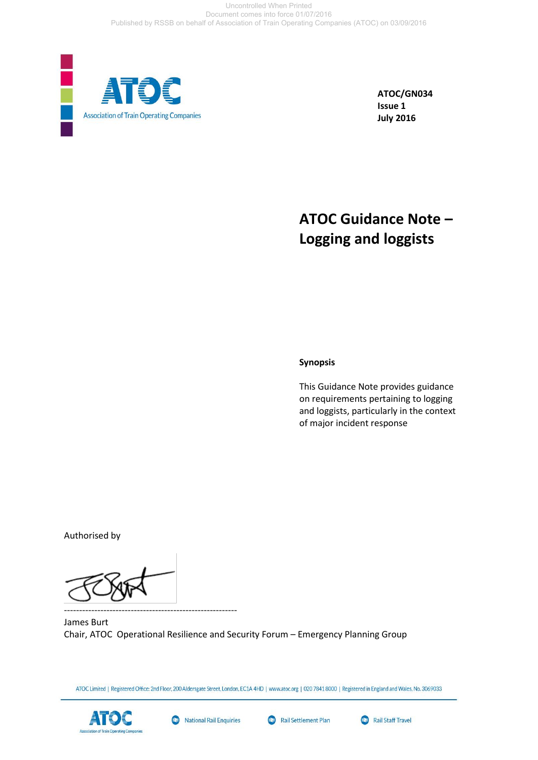

**ATOC/GN034 Issue 1 July 2016**

## **ATOC Guidance Note – Logging and loggists**

#### **Synopsis**

This Guidance Note provides guidance on requirements pertaining to logging and loggists, particularly in the context of major incident response

Authorised by

---------------------------------------------------------

James Burt Chair, ATOC Operational Resilience and Security Forum – Emergency Planning Group

ATOC Limited | Registered Office: 2nd Floor, 200 Aldersgate Street, London, EC1A 4HD | www.atoc.org | 020 7841 8000 | Registered in England and Wales, No. 3069033







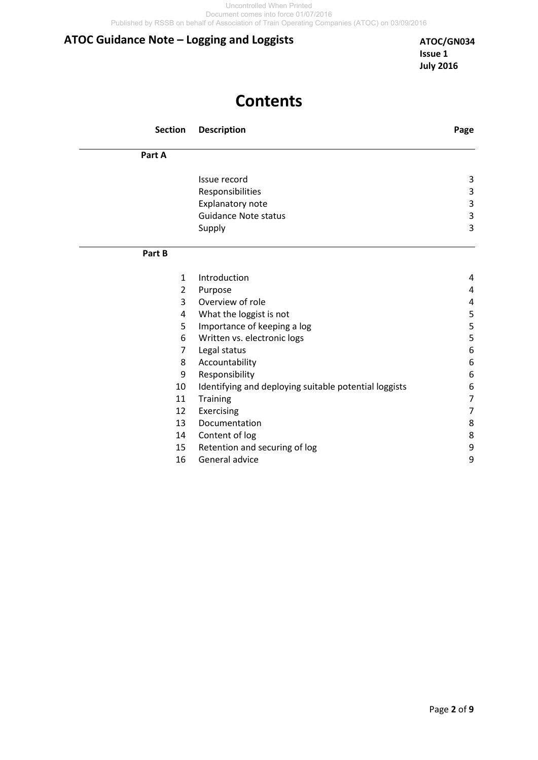## **Contents**

| <b>Section</b> | <b>Description</b>                                    | Page             |
|----------------|-------------------------------------------------------|------------------|
| Part A         |                                                       |                  |
|                | Issue record                                          | 3                |
|                | Responsibilities                                      | 3                |
|                | Explanatory note                                      | 3                |
|                | <b>Guidance Note status</b>                           | $\mathsf 3$      |
|                | Supply                                                | 3                |
| Part B         |                                                       |                  |
| $\mathbf{1}$   | Introduction                                          | 4                |
| $\overline{2}$ | Purpose                                               | 4                |
| 3              | Overview of role                                      | 4                |
| 4              | What the loggist is not                               | 5                |
| 5              | Importance of keeping a log                           | 5                |
| 6              | Written vs. electronic logs                           | 5                |
| 7              | Legal status                                          | $\boldsymbol{6}$ |
| 8              | Accountability                                        | 6                |
| 9              | Responsibility                                        | 6                |
| 10             | Identifying and deploying suitable potential loggists | 6                |
| 11             | <b>Training</b>                                       | 7                |
| 12             | Exercising                                            | $\overline{7}$   |
| 13             | Documentation                                         | 8                |
| 14             | Content of log                                        | 8                |
| 15             | Retention and securing of log                         | 9                |
| 16             | General advice                                        | 9                |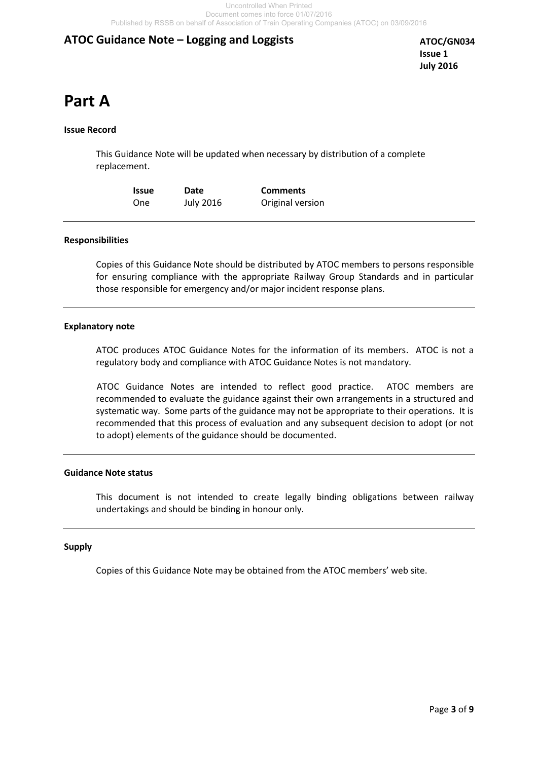**ATOC/GN034 Issue 1 July 2016**

# **Part A**

#### **Issue Record**

This Guidance Note will be updated when necessary by distribution of a complete replacement.

| <b>Issue</b> | Date             | <b>Comments</b>  |
|--------------|------------------|------------------|
| One          | <b>July 2016</b> | Original version |

#### **Responsibilities**

Copies of this Guidance Note should be distributed by ATOC members to persons responsible for ensuring compliance with the appropriate Railway Group Standards and in particular those responsible for emergency and/or major incident response plans.

#### **Explanatory note**

ATOC produces ATOC Guidance Notes for the information of its members. ATOC is not a regulatory body and compliance with ATOC Guidance Notes is not mandatory.

 ATOC Guidance Notes are intended to reflect good practice. ATOC members are recommended to evaluate the guidance against their own arrangements in a structured and systematic way. Some parts of the guidance may not be appropriate to their operations. It is recommended that this process of evaluation and any subsequent decision to adopt (or not to adopt) elements of the guidance should be documented.

#### **Guidance Note status**

This document is not intended to create legally binding obligations between railway undertakings and should be binding in honour only.

#### **Supply**

Copies of this Guidance Note may be obtained from the ATOC members' web site.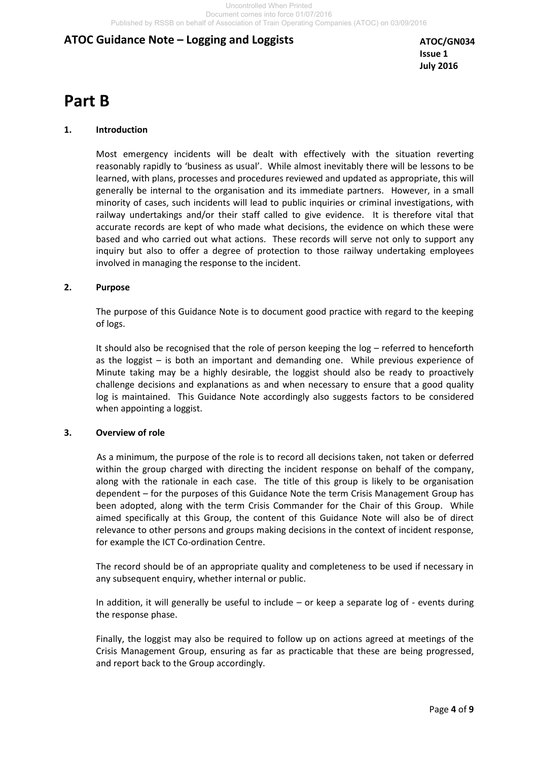**ATOC/GN034 Issue 1 July 2016**

## **Part B**

#### **1. Introduction**

 Most emergency incidents will be dealt with effectively with the situation reverting reasonably rapidly to 'business as usual'. While almost inevitably there will be lessons to be learned, with plans, processes and procedures reviewed and updated as appropriate, this will generally be internal to the organisation and its immediate partners. However, in a small minority of cases, such incidents will lead to public inquiries or criminal investigations, with railway undertakings and/or their staff called to give evidence. It is therefore vital that accurate records are kept of who made what decisions, the evidence on which these were based and who carried out what actions. These records will serve not only to support any inquiry but also to offer a degree of protection to those railway undertaking employees involved in managing the response to the incident.

#### **2. Purpose**

 The purpose of this Guidance Note is to document good practice with regard to the keeping of logs.

It should also be recognised that the role of person keeping the log – referred to henceforth as the loggist – is both an important and demanding one. While previous experience of Minute taking may be a highly desirable, the loggist should also be ready to proactively challenge decisions and explanations as and when necessary to ensure that a good quality log is maintained. This Guidance Note accordingly also suggests factors to be considered when appointing a loggist.

#### **3. Overview of role**

 As a minimum, the purpose of the role is to record all decisions taken, not taken or deferred within the group charged with directing the incident response on behalf of the company, along with the rationale in each case. The title of this group is likely to be organisation dependent – for the purposes of this Guidance Note the term Crisis Management Group has been adopted, along with the term Crisis Commander for the Chair of this Group. While aimed specifically at this Group, the content of this Guidance Note will also be of direct relevance to other persons and groups making decisions in the context of incident response, for example the ICT Co-ordination Centre.

The record should be of an appropriate quality and completeness to be used if necessary in any subsequent enquiry, whether internal or public.

In addition, it will generally be useful to include – or keep a separate log of - events during the response phase.

Finally, the loggist may also be required to follow up on actions agreed at meetings of the Crisis Management Group, ensuring as far as practicable that these are being progressed, and report back to the Group accordingly.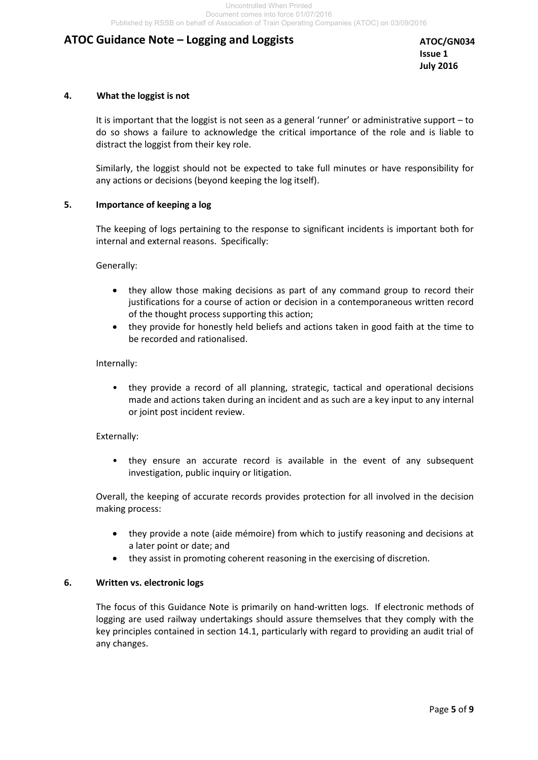**ATOC/GN034 Issue 1 July 2016**

#### **4. What the loggist is not**

 It is important that the loggist is not seen as a general 'runner' or administrative support – to do so shows a failure to acknowledge the critical importance of the role and is liable to distract the loggist from their key role.

 Similarly, the loggist should not be expected to take full minutes or have responsibility for any actions or decisions (beyond keeping the log itself).

#### **5. Importance of keeping a log**

The keeping of logs pertaining to the response to significant incidents is important both for internal and external reasons. Specifically:

Generally:

- they allow those making decisions as part of any command group to record their justifications for a course of action or decision in a contemporaneous written record of the thought process supporting this action;
- they provide for honestly held beliefs and actions taken in good faith at the time to be recorded and rationalised.

#### Internally:

• they provide a record of all planning, strategic, tactical and operational decisions made and actions taken during an incident and as such are a key input to any internal or joint post incident review.

#### Externally:

• they ensure an accurate record is available in the event of any subsequent investigation, public inquiry or litigation.

Overall, the keeping of accurate records provides protection for all involved in the decision making process:

- they provide a note (aide mémoire) from which to justify reasoning and decisions at a later point or date; and
- they assist in promoting coherent reasoning in the exercising of discretion.

#### **6. Written vs. electronic logs**

The focus of this Guidance Note is primarily on hand-written logs. If electronic methods of logging are used railway undertakings should assure themselves that they comply with the key principles contained in section 14.1, particularly with regard to providing an audit trial of any changes.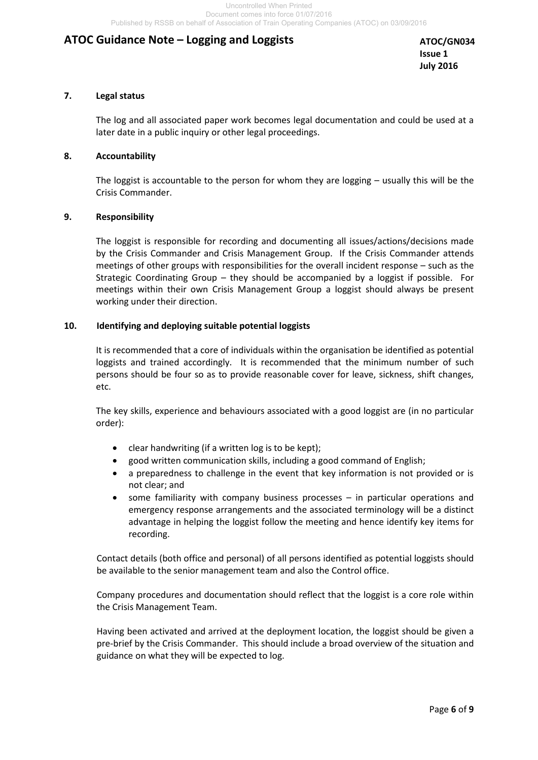**ATOC/GN034 Issue 1 July 2016**

#### **7. Legal status**

 The log and all associated paper work becomes legal documentation and could be used at a later date in a public inquiry or other legal proceedings.

#### **8. Accountability**

 The loggist is accountable to the person for whom they are logging – usually this will be the Crisis Commander.

#### **9. Responsibility**

 The loggist is responsible for recording and documenting all issues/actions/decisions made by the Crisis Commander and Crisis Management Group. If the Crisis Commander attends meetings of other groups with responsibilities for the overall incident response – such as the Strategic Coordinating Group – they should be accompanied by a loggist if possible. For meetings within their own Crisis Management Group a loggist should always be present working under their direction.

#### **10. Identifying and deploying suitable potential loggists**

 It is recommended that a core of individuals within the organisation be identified as potential loggists and trained accordingly. It is recommended that the minimum number of such persons should be four so as to provide reasonable cover for leave, sickness, shift changes, etc.

 The key skills, experience and behaviours associated with a good loggist are (in no particular order):

- clear handwriting (if a written log is to be kept);
- good written communication skills, including a good command of English;
- a preparedness to challenge in the event that key information is not provided or is not clear; and
- some familiarity with company business processes in particular operations and emergency response arrangements and the associated terminology will be a distinct advantage in helping the loggist follow the meeting and hence identify key items for recording.

Contact details (both office and personal) of all persons identified as potential loggists should be available to the senior management team and also the Control office.

Company procedures and documentation should reflect that the loggist is a core role within the Crisis Management Team.

Having been activated and arrived at the deployment location, the loggist should be given a pre-brief by the Crisis Commander. This should include a broad overview of the situation and guidance on what they will be expected to log.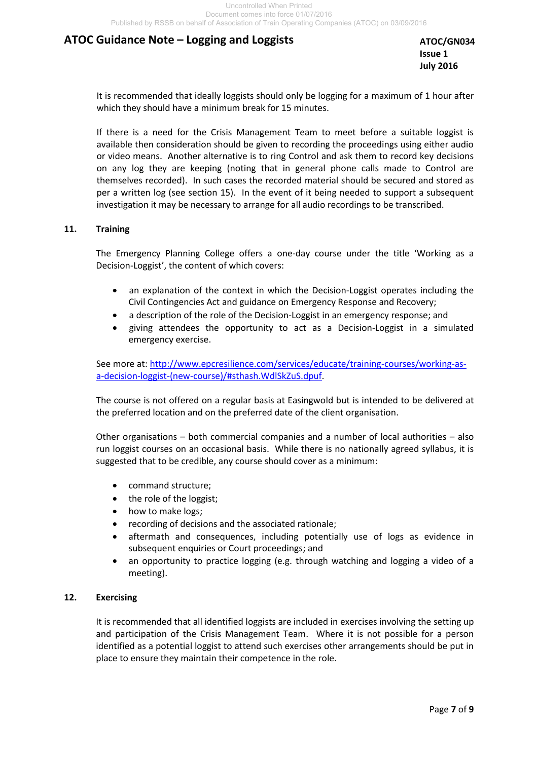**ATOC/GN034 Issue 1 July 2016**

It is recommended that ideally loggists should only be logging for a maximum of 1 hour after which they should have a minimum break for 15 minutes.

If there is a need for the Crisis Management Team to meet before a suitable loggist is available then consideration should be given to recording the proceedings using either audio or video means. Another alternative is to ring Control and ask them to record key decisions on any log they are keeping (noting that in general phone calls made to Control are themselves recorded). In such cases the recorded material should be secured and stored as per a written log (see section 15). In the event of it being needed to support a subsequent investigation it may be necessary to arrange for all audio recordings to be transcribed.

#### **11. Training**

 The Emergency Planning College offers a one-day course under the title 'Working as a Decision-Loggist', the content of which covers:

- an explanation of the context in which the Decision-Loggist operates including the Civil Contingencies Act and guidance on Emergency Response and Recovery;
- a description of the role of the Decision-Loggist in an emergency response; and
- giving attendees the opportunity to act as a Decision-Loggist in a simulated emergency exercise.

See more at: [http://www.epcresilience.com/services/educate/training-courses/working-as](http://www.epcresilience.com/services/educate/training-courses/working-as-a-decision-loggist-(new-course)/#sthash.WdlSkZuS.dpuf)[a-decision-loggist-\(new-course\)/#sthash.WdlSkZuS.dpuf.](http://www.epcresilience.com/services/educate/training-courses/working-as-a-decision-loggist-(new-course)/#sthash.WdlSkZuS.dpuf)

The course is not offered on a regular basis at Easingwold but is intended to be delivered at the preferred location and on the preferred date of the client organisation.

Other organisations – both commercial companies and a number of local authorities – also run loggist courses on an occasional basis. While there is no nationally agreed syllabus, it is suggested that to be credible, any course should cover as a minimum:

- command structure:
- the role of the loggist;
- how to make logs;
- recording of decisions and the associated rationale;
- aftermath and consequences, including potentially use of logs as evidence in subsequent enquiries or Court proceedings; and
- an opportunity to practice logging (e.g. through watching and logging a video of a meeting).

#### **12. Exercising**

 It is recommended that all identified loggists are included in exercises involving the setting up and participation of the Crisis Management Team. Where it is not possible for a person identified as a potential loggist to attend such exercises other arrangements should be put in place to ensure they maintain their competence in the role.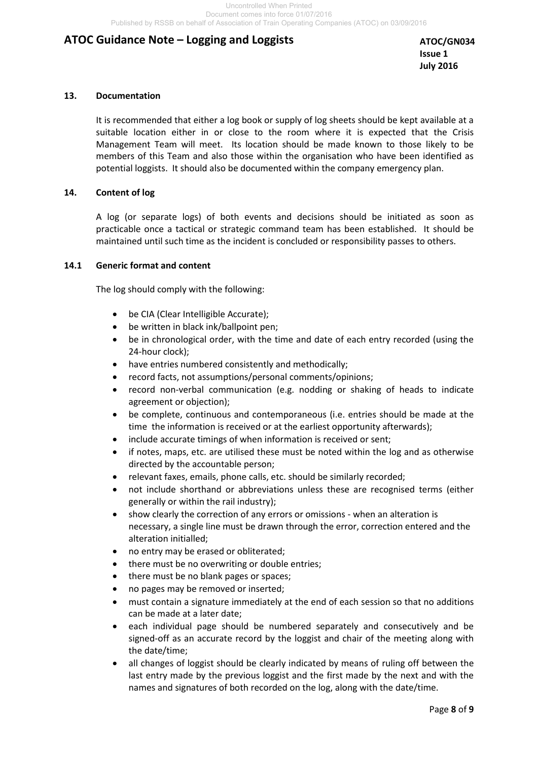#### **13. Documentation**

 It is recommended that either a log book or supply of log sheets should be kept available at a suitable location either in or close to the room where it is expected that the Crisis Management Team will meet. Its location should be made known to those likely to be members of this Team and also those within the organisation who have been identified as potential loggists. It should also be documented within the company emergency plan.

#### **14. Content of log**

 A log (or separate logs) of both events and decisions should be initiated as soon as practicable once a tactical or strategic command team has been established. It should be maintained until such time as the incident is concluded or responsibility passes to others.

#### **14.1 Generic format and content**

The log should comply with the following:

- be CIA (Clear Intelligible Accurate);
- be written in black ink/ballpoint pen;
- be in chronological order, with the time and date of each entry recorded (using the 24-hour clock);
- have entries numbered consistently and methodically;
- record facts, not assumptions/personal comments/opinions;
- record non-verbal communication (e.g. nodding or shaking of heads to indicate agreement or objection);
- be complete, continuous and contemporaneous (i.e. entries should be made at the time the information is received or at the earliest opportunity afterwards);
- include accurate timings of when information is received or sent;
- if notes, maps, etc. are utilised these must be noted within the log and as otherwise directed by the accountable person;
- relevant faxes, emails, phone calls, etc. should be similarly recorded;
- not include shorthand or abbreviations unless these are recognised terms (either generally or within the rail industry);
- show clearly the correction of any errors or omissions when an alteration is necessary, a single line must be drawn through the error, correction entered and the alteration initialled;
- no entry may be erased or obliterated;
- there must be no overwriting or double entries;
- there must be no blank pages or spaces;
- no pages may be removed or inserted;
- must contain a signature immediately at the end of each session so that no additions can be made at a later date;
- each individual page should be numbered separately and consecutively and be signed-off as an accurate record by the loggist and chair of the meeting along with the date/time;
- all changes of loggist should be clearly indicated by means of ruling off between the last entry made by the previous loggist and the first made by the next and with the names and signatures of both recorded on the log, along with the date/time.